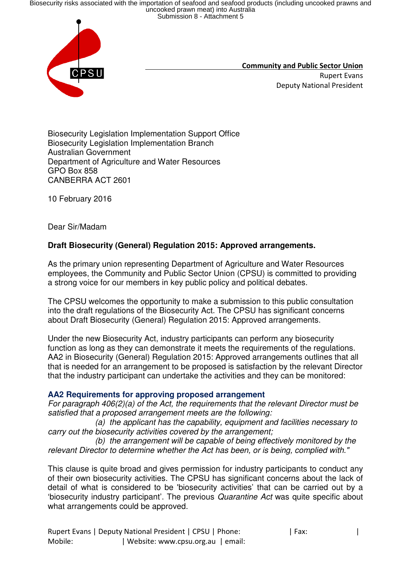Biosecurity risks associated with the importation of seafood and seafood products (including uncooked prawns and<br>uncooked prawn meat) into Australia<br>Submission 8 - Attachment 5



 **Community and Public Sector Union**  Rupert Evans Deputy National President

Biosecurity Legislation Implementation Support Office Biosecurity Legislation Implementation Branch Australian Government Department of Agriculture and Water Resources GPO Box 858 CANBERRA ACT 2601

10 February 2016

Dear Sir/Madam

## **Draft Biosecurity (General) Regulation 2015: Approved arrangements.**

As the primary union representing Department of Agriculture and Water Resources employees, the Community and Public Sector Union (CPSU) is committed to providing a strong voice for our members in key public policy and political debates.

The CPSU welcomes the opportunity to make a submission to this public consultation into the draft regulations of the Biosecurity Act. The CPSU has significant concerns about Draft Biosecurity (General) Regulation 2015: Approved arrangements.

Under the new Biosecurity Act, industry participants can perform any biosecurity function as long as they can demonstrate it meets the requirements of the regulations. AA2 in Biosecurity (General) Regulation 2015: Approved arrangements outlines that all that is needed for an arrangement to be proposed is satisfaction by the relevant Director that the industry participant can undertake the activities and they can be monitored:

## **AA2 Requirements for approving proposed arrangement**

*For paragraph 406(2)(a) of the Act, the requirements that the relevant Director must be satisfied that a proposed arrangement meets are the following:*

 *(a) the applicant has the capability, equipment and facilities necessary to carry out the biosecurity activities covered by the arrangement;*

 *(b) the arrangement will be capable of being effectively monitored by the relevant Director to determine whether the Act has been, or is being, complied with."* 

This clause is quite broad and gives permission for industry participants to conduct any of their own biosecurity activities. The CPSU has significant concerns about the lack of detail of what is considered to be 'biosecurity activities' that can be carried out by a 'biosecurity industry participant'. The previous *Quarantine Act* was quite specific about what arrangements could be approved.